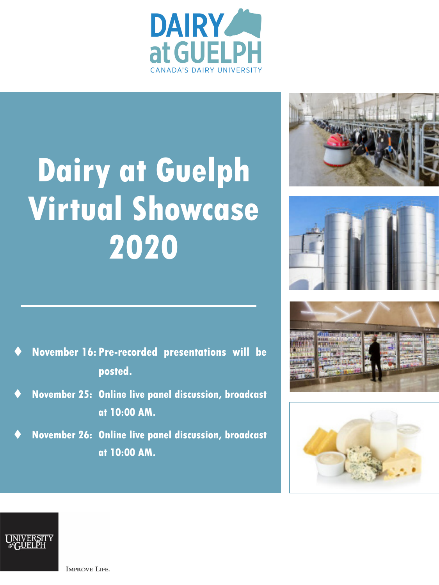

# **Dairy at Guelph Virtual Showcase 2020**









- **November 16: Pre-recorded presentations will be posted.**
- **November 25: Online live panel discussion, broadcast at 10:00 AM.**
- **November 26: Online live panel discussion, broadcast at 10:00 AM.**



**IMPROVE LIFE.**